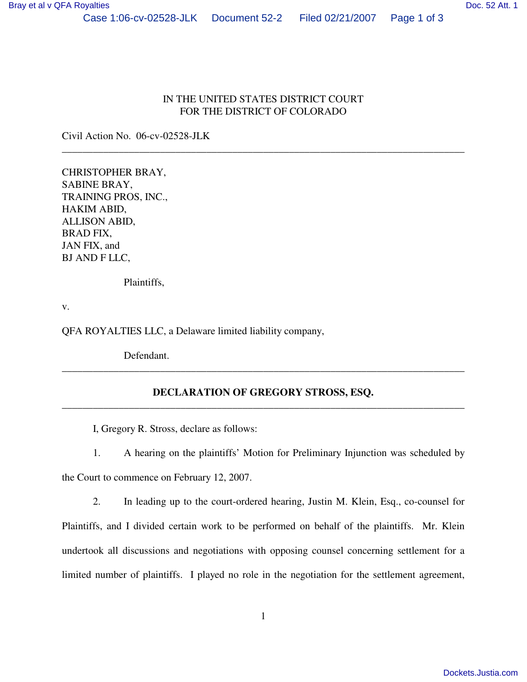## IN THE UNITED STATES DISTRICT COURT FOR THE DISTRICT OF COLORADO

\_\_\_\_\_\_\_\_\_\_\_\_\_\_\_\_\_\_\_\_\_\_\_\_\_\_\_\_\_\_\_\_\_\_\_\_\_\_\_\_\_\_\_\_\_\_\_\_\_\_\_\_\_\_\_\_\_\_\_\_\_\_\_\_\_\_\_\_\_\_\_\_\_\_\_\_\_\_

Civil Action No. 06-cv-02528-JLK

CHRISTOPHER BRAY, SABINE BRAY, TRAINING PROS, INC., HAKIM ABID, ALLISON ABID, BRAD FIX, JAN FIX, and BJ AND F LLC,

Plaintiffs,

v.

QFA ROYALTIES LLC, a Delaware limited liability company,

Defendant.

## **DECLARATION OF GREGORY STROSS, ESQ.**  \_\_\_\_\_\_\_\_\_\_\_\_\_\_\_\_\_\_\_\_\_\_\_\_\_\_\_\_\_\_\_\_\_\_\_\_\_\_\_\_\_\_\_\_\_\_\_\_\_\_\_\_\_\_\_\_\_\_\_\_\_\_\_\_\_\_\_\_\_\_\_\_\_\_\_\_\_\_

\_\_\_\_\_\_\_\_\_\_\_\_\_\_\_\_\_\_\_\_\_\_\_\_\_\_\_\_\_\_\_\_\_\_\_\_\_\_\_\_\_\_\_\_\_\_\_\_\_\_\_\_\_\_\_\_\_\_\_\_\_\_\_\_\_\_\_\_\_\_\_\_\_\_\_\_\_\_

I, Gregory R. Stross, declare as follows:

1. A hearing on the plaintiffs' Motion for Preliminary Injunction was scheduled by the Court to commence on February 12, 2007.

2. In leading up to the court-ordered hearing, Justin M. Klein, Esq., co-counsel for Plaintiffs, and I divided certain work to be performed on behalf of the plaintiffs. Mr. Klein undertook all discussions and negotiations with opposing counsel concerning settlement for a limited number of plaintiffs. I played no role in the negotiation for the settlement agreement,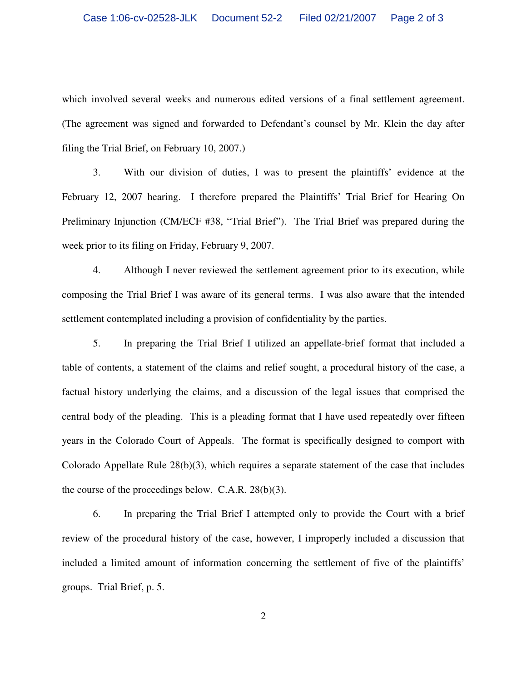which involved several weeks and numerous edited versions of a final settlement agreement. (The agreement was signed and forwarded to Defendant's counsel by Mr. Klein the day after filing the Trial Brief, on February 10, 2007.)

3. With our division of duties, I was to present the plaintiffs' evidence at the February 12, 2007 hearing. I therefore prepared the Plaintiffs' Trial Brief for Hearing On Preliminary Injunction (CM/ECF #38, "Trial Brief"). The Trial Brief was prepared during the week prior to its filing on Friday, February 9, 2007.

4. Although I never reviewed the settlement agreement prior to its execution, while composing the Trial Brief I was aware of its general terms. I was also aware that the intended settlement contemplated including a provision of confidentiality by the parties.

5. In preparing the Trial Brief I utilized an appellate-brief format that included a table of contents, a statement of the claims and relief sought, a procedural history of the case, a factual history underlying the claims, and a discussion of the legal issues that comprised the central body of the pleading. This is a pleading format that I have used repeatedly over fifteen years in the Colorado Court of Appeals. The format is specifically designed to comport with Colorado Appellate Rule 28(b)(3), which requires a separate statement of the case that includes the course of the proceedings below. C.A.R. 28(b)(3).

6. In preparing the Trial Brief I attempted only to provide the Court with a brief review of the procedural history of the case, however, I improperly included a discussion that included a limited amount of information concerning the settlement of five of the plaintiffs' groups. Trial Brief, p. 5.